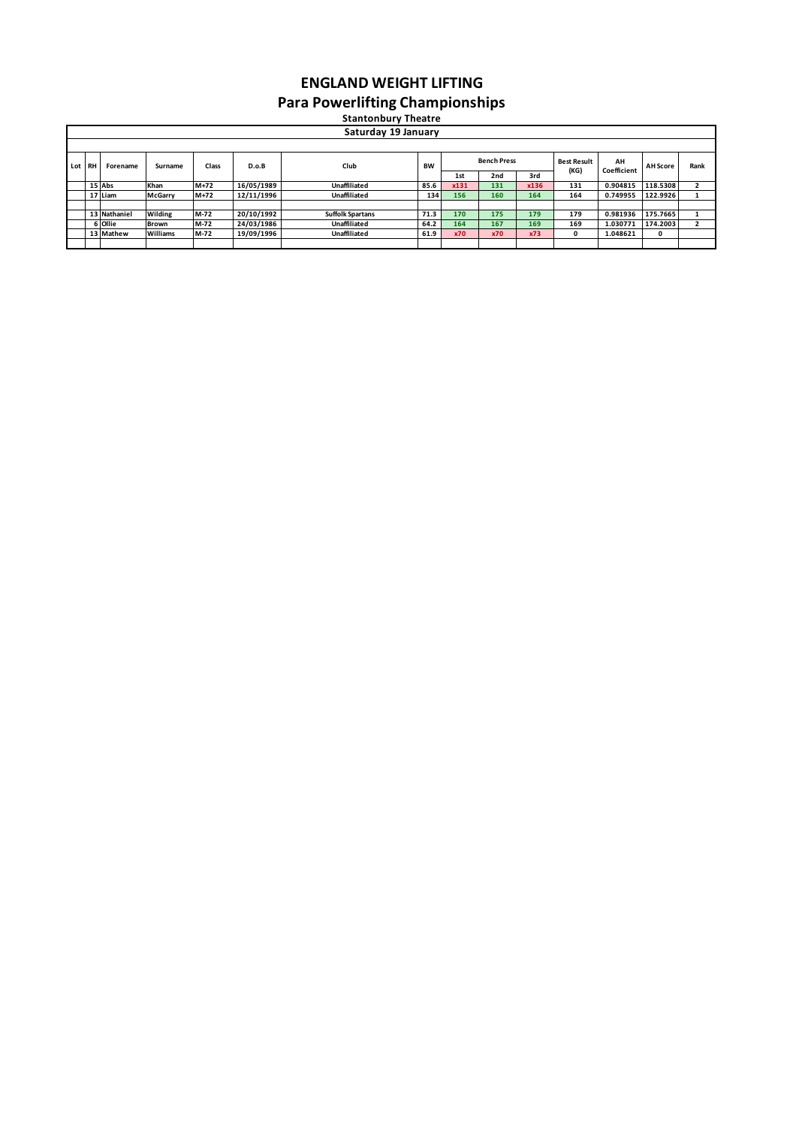## **ENGLAND WEIGHT LIFTING Para Powerlifting Championships**

1st 2nd 3rd<br>
<u>131 131 136</u><br>
156 160 164 15|Abs |Khan |M+72 |16/05/1989 | Unaffiliated |85.6 x<mark>131 |131 x136 131 0.904815 |118.5308</mark> 2<br>17|Liam |McGarry |M+72 |12/11/1996 | Unaffiliated |134 156 160 164 164 0.749955 |122.9926 1 **13 Nathaniel Wilding M-72 20/10/1992 Suffolk Spartans 71.3 170 175 179 179 0.981936 175.7665 1** 6|Ollie Brown |M-72 |24/03/1986 | Unaffiliated |64.2 |164 |167 |169 |169 |1.030771 |174.2003 | 2<br>13|Mathew Williams |M-72 |19/09/1996 | Unaffiliated |61.9 x70 x70 x73 | 0 |1.048621 | 0 **Lot RH Forename Surname Class D.o.B Club BW Stantonbury Theatre Saturday 19 January Best Result (KG) Research Press** Best Result AH AH Score Rank<br> **Coefficient** AH Score Rank